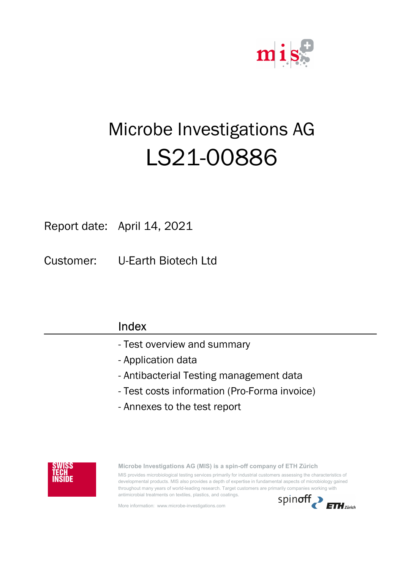

# Microbe Investigations AG LS21-00886

Report date: April 14, 2021

Customer: U-Earth Biotech Ltd

| Index                                        |
|----------------------------------------------|
| - Test overview and summary                  |
| - Application data                           |
| - Antibacterial Testing management data      |
| - Test costs information (Pro-Forma invoice) |
| - Annexes to the test report                 |
|                                              |



Microbe Investigations AG (MIS) is a spin-off company of ETH Zürich MIS provides microbiological testing services primarily for industrial customers assessing the characteristics of developmental products. MIS also provides a depth of expertise in fundamental aspects of microbiology gained throughout many years of world-leading research. Target customers are primarily companies working with antimicrobial treatments on textiles, plastics, and coatings.

More information: www.microbe-investigations.com

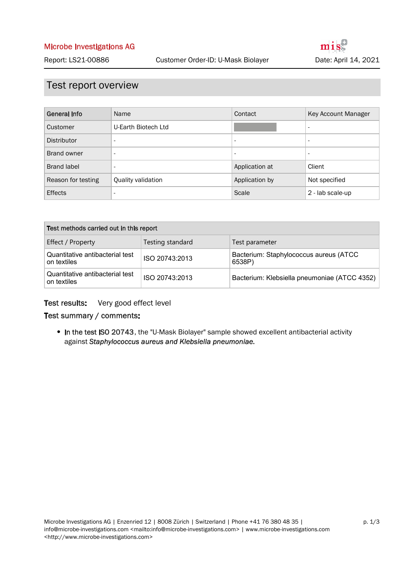### Test report overview

| General Info       | Name                     | Contact                  | Key Account Manager      |
|--------------------|--------------------------|--------------------------|--------------------------|
| Customer           | U-Earth Biotech Ltd      |                          | $\overline{\phantom{a}}$ |
| Distributor        | $\overline{\phantom{a}}$ | $\overline{\phantom{a}}$ | $\overline{\phantom{a}}$ |
| Brand owner        | $\overline{\phantom{a}}$ | $\overline{\phantom{a}}$ | $\overline{\phantom{a}}$ |
| Brand label        | $\overline{\phantom{a}}$ | Application at           | Client                   |
| Reason for testing | Quality validation       | Application by           | Not specified            |
| <b>Effects</b>     | $\overline{\phantom{a}}$ | Scale                    | 2 - lab scale-up         |

| Test methods carried out in this report        |                  |                                                  |  |  |
|------------------------------------------------|------------------|--------------------------------------------------|--|--|
| Effect / Property                              | Testing standard | Test parameter                                   |  |  |
| Quantitative antibacterial test<br>on textiles | ISO 20743:2013   | Bacterium: Staphylococcus aureus (ATCC<br>6538P) |  |  |
| Quantitative antibacterial test<br>on textiles | ISO 20743:2013   | Bacterium: Klebsiella pneumoniae (ATCC 4352)     |  |  |

#### Very good effect level Test results:

#### Test summary / comments:

• In the test ISO 20743, the "U-Mask Biolayer" sample showed excellent antibacterial activity against Staphylococcus aureus and Klebsiella pneumoniae.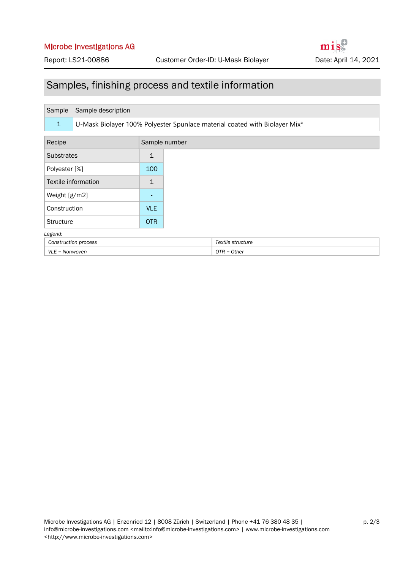#### Microbe Investigations AG

## Samples, finishing process and textile information

| Sample               | Sample description                                                         |              |                   |  |  |
|----------------------|----------------------------------------------------------------------------|--------------|-------------------|--|--|
| $\mathbf{1}$         | U-Mask Biolayer 100% Polyester Spunlace material coated with Biolayer Mix* |              |                   |  |  |
| Recipe               | Sample number                                                              |              |                   |  |  |
| <b>Substrates</b>    |                                                                            | $\mathbf{1}$ |                   |  |  |
| Polyester [%]        |                                                                            | 100          |                   |  |  |
|                      | Textile information                                                        | $\mathbf{1}$ |                   |  |  |
| Weight [g/m2]        |                                                                            |              |                   |  |  |
| Construction         |                                                                            | <b>VLE</b>   |                   |  |  |
| <b>Structure</b>     |                                                                            | <b>OTR</b>   |                   |  |  |
| Legend:              |                                                                            |              |                   |  |  |
| Construction process |                                                                            |              | Textile structure |  |  |
| $VLE = Nonwoven$     |                                                                            |              | $OTR = Other$     |  |  |